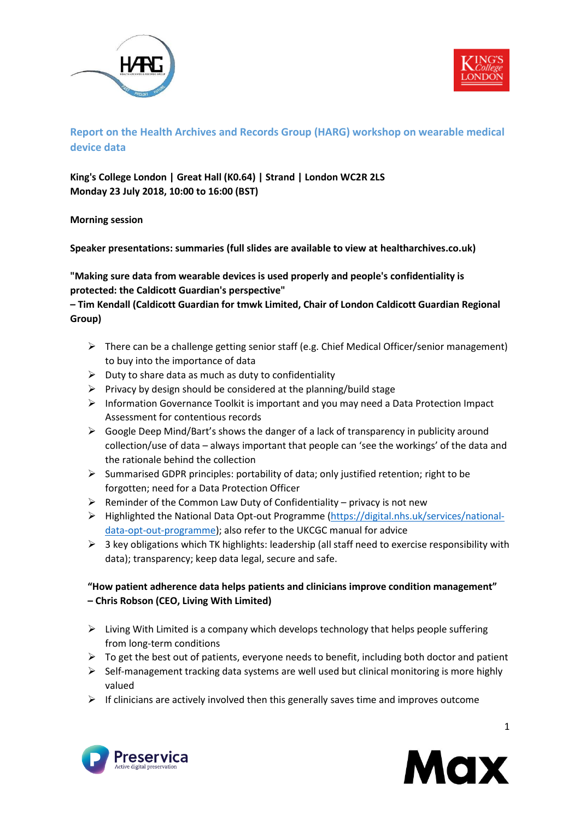



# **Report on the Health Archives and Records Group (HARG) workshop on wearable medical device data**

**King's College London | Great Hall (K0.64) | Strand | London WC2R 2LS Monday 23 July 2018, 10:00 to 16:00 (BST)**

**Morning session**

**Speaker presentations: summaries (full slides are available to view at healtharchives.co.uk)**

## **"Making sure data from wearable devices is used properly and people's confidentiality is protected: the Caldicott Guardian's perspective"**

## **– Tim Kendall (Caldicott Guardian for tmwk Limited, Chair of London Caldicott Guardian Regional Group)**

- $\triangleright$  There can be a challenge getting senior staff (e.g. Chief Medical Officer/senior management) to buy into the importance of data
- $\triangleright$  Duty to share data as much as duty to confidentiality
- $\triangleright$  Privacy by design should be considered at the planning/build stage
- $\triangleright$  Information Governance Toolkit is important and you may need a Data Protection Impact Assessment for contentious records
- $\triangleright$  Google Deep Mind/Bart's shows the danger of a lack of transparency in publicity around collection/use of data – always important that people can 'see the workings' of the data and the rationale behind the collection
- ➢ Summarised GDPR principles: portability of data; only justified retention; right to be forgotten; need for a Data Protection Officer
- $\triangleright$  Reminder of the Common Law Duty of Confidentiality privacy is not new
- ➢ Highlighted the National Data Opt-out Programme [\(https://digital.nhs.uk/services/national](https://digital.nhs.uk/services/national-data-opt-out-programme)[data-opt-out-programme\)](https://digital.nhs.uk/services/national-data-opt-out-programme); also refer to the UKCGC manual for advice
- $\triangleright$  3 key obligations which TK highlights: leadership (all staff need to exercise responsibility with data); transparency; keep data legal, secure and safe.

## **"How patient adherence data helps patients and clinicians improve condition management" – Chris Robson (CEO, Living With Limited)**

- $\triangleright$  Living With Limited is a company which develops technology that helps people suffering from long-term conditions
- $\triangleright$  To get the best out of patients, everyone needs to benefit, including both doctor and patient
- ➢ Self-management tracking data systems are well used but clinical monitoring is more highly valued
- $\triangleright$  If clinicians are actively involved then this generally saves time and improves outcome



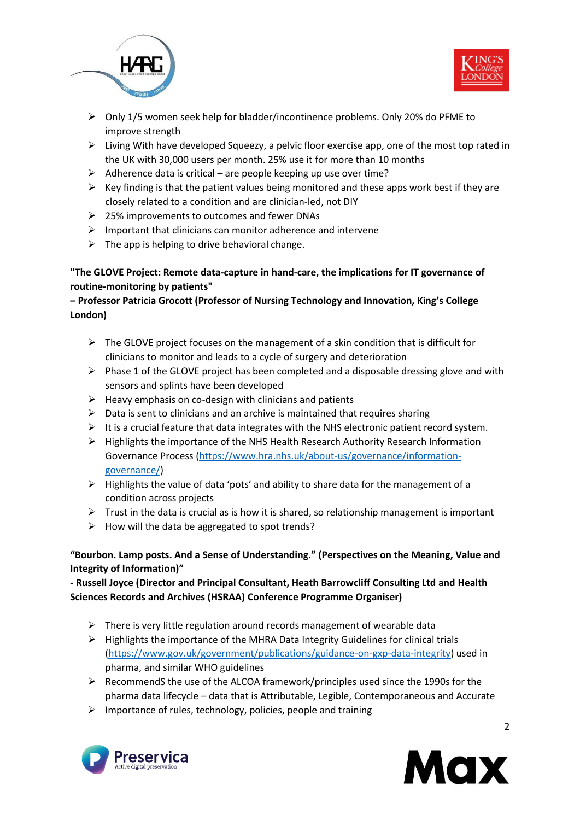



- ➢ Only 1/5 women seek help for bladder/incontinence problems. Only 20% do PFME to improve strength
- $\triangleright$  Living With have developed Squeezy, a pelvic floor exercise app, one of the most top rated in the UK with 30,000 users per month. 25% use it for more than 10 months
- $\triangleright$  Adherence data is critical are people keeping up use over time?
- $\triangleright$  Key finding is that the patient values being monitored and these apps work best if they are closely related to a condition and are clinician-led, not DIY
- ➢ 25% improvements to outcomes and fewer DNAs
- $\triangleright$  Important that clinicians can monitor adherence and intervene
- $\triangleright$  The app is helping to drive behavioral change.

## **"The GLOVE Project: Remote data-capture in hand-care, the implications for IT governance of routine-monitoring by patients"**

## **– Professor Patricia Grocott (Professor of Nursing Technology and Innovation, King's College London)**

- $\triangleright$  The GLOVE project focuses on the management of a skin condition that is difficult for clinicians to monitor and leads to a cycle of surgery and deterioration
- $\triangleright$  Phase 1 of the GLOVE project has been completed and a disposable dressing glove and with sensors and splints have been developed
- $\triangleright$  Heavy emphasis on co-design with clinicians and patients
- $\triangleright$  Data is sent to clinicians and an archive is maintained that requires sharing
- $\triangleright$  It is a crucial feature that data integrates with the NHS electronic patient record system.
- $\triangleright$  Highlights the importance of the NHS Health Research Authority Research Information Governance Process [\(https://www.hra.nhs.uk/about-us/governance/information](https://www.hra.nhs.uk/about-us/governance/information-governance/)[governance/\)](https://www.hra.nhs.uk/about-us/governance/information-governance/)
- ➢ Highlights the value of data 'pots' and ability to share data for the management of a condition across projects
- $\triangleright$  Trust in the data is crucial as is how it is shared, so relationship management is important
- $\triangleright$  How will the data be aggregated to spot trends?

## **"Bourbon. Lamp posts. And a Sense of Understanding." (Perspectives on the Meaning, Value and Integrity of Information)"**

**- Russell Joyce (Director and Principal Consultant, Heath Barrowcliff Consulting Ltd and Health Sciences Records and Archives (HSRAA) Conference Programme Organiser)**

- $\triangleright$  There is very little regulation around records management of wearable data
- $\triangleright$  Highlights the importance of the MHRA Data Integrity Guidelines for clinical trials [\(https://www.gov.uk/government/publications/guidance-on-gxp-data-integrity\)](https://www.gov.uk/government/publications/guidance-on-gxp-data-integrity) used in pharma, and similar WHO guidelines
- $\triangleright$  RecommendS the use of the ALCOA framework/principles used since the 1990s for the pharma data lifecycle – data that is Attributable, Legible, Contemporaneous and Accurate
- $\triangleright$  Importance of rules, technology, policies, people and training



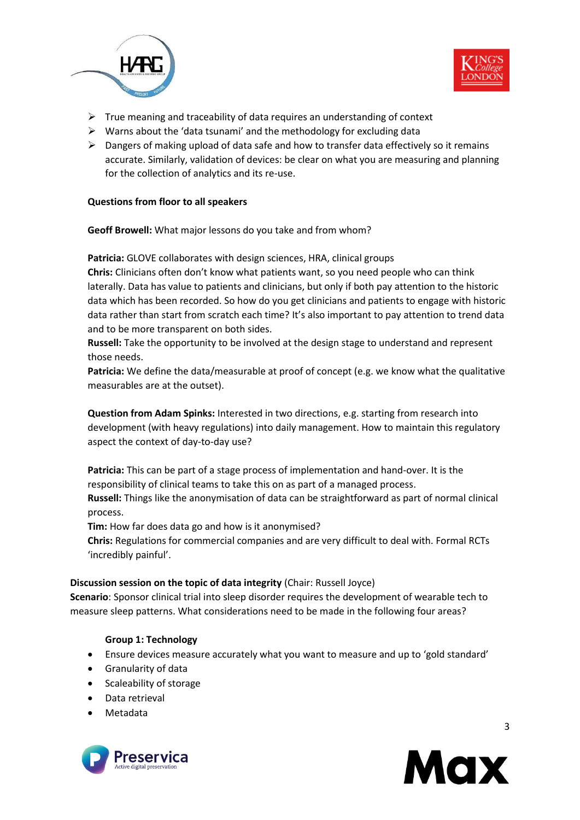



- $\triangleright$  True meaning and traceability of data requires an understanding of context
- $\triangleright$  Warns about the 'data tsunami' and the methodology for excluding data
- $\triangleright$  Dangers of making upload of data safe and how to transfer data effectively so it remains accurate. Similarly, validation of devices: be clear on what you are measuring and planning for the collection of analytics and its re-use.

#### **Questions from floor to all speakers**

**Geoff Browell:** What major lessons do you take and from whom?

**Patricia:** GLOVE collaborates with design sciences, HRA, clinical groups **Chris:** Clinicians often don't know what patients want, so you need people who can think laterally. Data has value to patients and clinicians, but only if both pay attention to the historic data which has been recorded. So how do you get clinicians and patients to engage with historic data rather than start from scratch each time? It's also important to pay attention to trend data and to be more transparent on both sides.

**Russell:** Take the opportunity to be involved at the design stage to understand and represent those needs.

**Patricia:** We define the data/measurable at proof of concept (e.g. we know what the qualitative measurables are at the outset).

**Question from Adam Spinks:** Interested in two directions, e.g. starting from research into development (with heavy regulations) into daily management. How to maintain this regulatory aspect the context of day-to-day use?

**Patricia:** This can be part of a stage process of implementation and hand-over. It is the responsibility of clinical teams to take this on as part of a managed process. **Russell:** Things like the anonymisation of data can be straightforward as part of normal clinical process.

**Tim:** How far does data go and how is it anonymised?

**Chris:** Regulations for commercial companies and are very difficult to deal with. Formal RCTs 'incredibly painful'.

#### **Discussion session on the topic of data integrity** (Chair: Russell Joyce)

**Scenario**: Sponsor clinical trial into sleep disorder requires the development of wearable tech to measure sleep patterns. What considerations need to be made in the following four areas?

#### **Group 1: Technology**

- Ensure devices measure accurately what you want to measure and up to 'gold standard'
- Granularity of data
- Scaleability of storage
- Data retrieval
- Metadata



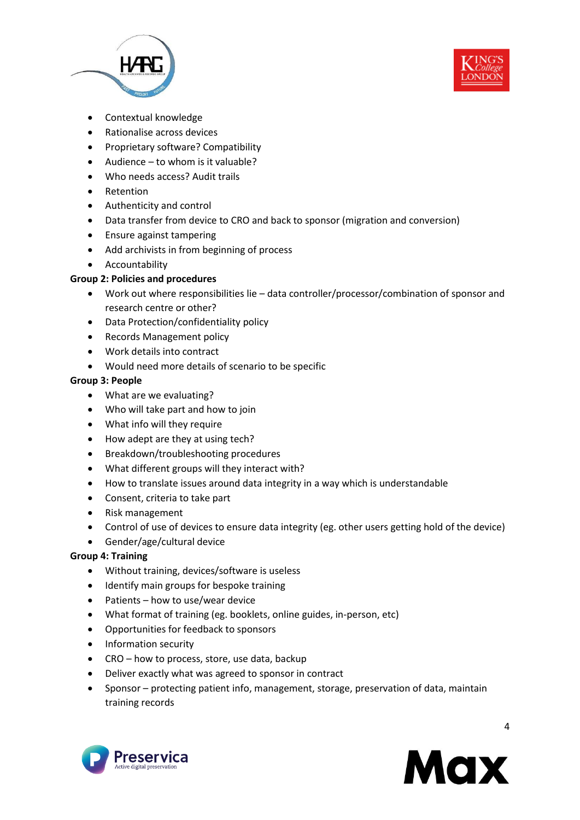



- Contextual knowledge
- Rationalise across devices
- Proprietary software? Compatibility
- Audience to whom is it valuable?
- Who needs access? Audit trails
- Retention
- Authenticity and control
- Data transfer from device to CRO and back to sponsor (migration and conversion)
- Ensure against tampering
- Add archivists in from beginning of process
- Accountability

### **Group 2: Policies and procedures**

- Work out where responsibilities lie data controller/processor/combination of sponsor and research centre or other?
- Data Protection/confidentiality policy
- Records Management policy
- Work details into contract
- Would need more details of scenario to be specific

### **Group 3: People**

- What are we evaluating?
- Who will take part and how to join
- What info will they require
- How adept are they at using tech?
- Breakdown/troubleshooting procedures
- What different groups will they interact with?
- How to translate issues around data integrity in a way which is understandable
- Consent, criteria to take part
- Risk management
- Control of use of devices to ensure data integrity (eg. other users getting hold of the device)
- Gender/age/cultural device

### **Group 4: Training**

- Without training, devices/software is useless
- Identify main groups for bespoke training
- Patients how to use/wear device
- What format of training (eg. booklets, online guides, in-person, etc)
- Opportunities for feedback to sponsors
- Information security
- CRO how to process, store, use data, backup
- Deliver exactly what was agreed to sponsor in contract
- Sponsor protecting patient info, management, storage, preservation of data, maintain training records



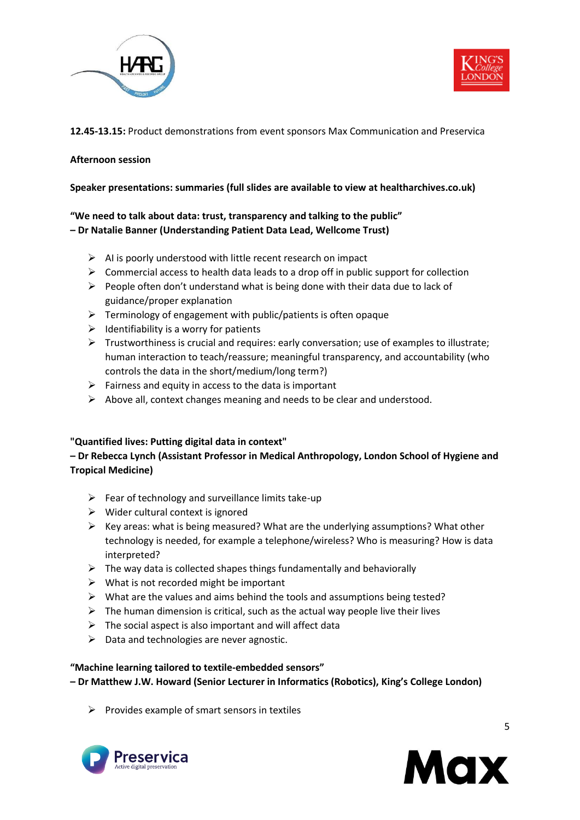



### **12.45-13.15:** Product demonstrations from event sponsors Max Communication and Preservica

#### **Afternoon session**

#### **Speaker presentations: summaries (full slides are available to view at healtharchives.co.uk)**

## **"We need to talk about data: trust, transparency and talking to the public" – Dr Natalie Banner (Understanding Patient Data Lead, Wellcome Trust)**

- $\triangleright$  AI is poorly understood with little recent research on impact
- $\triangleright$  Commercial access to health data leads to a drop off in public support for collection
- $\triangleright$  People often don't understand what is being done with their data due to lack of guidance/proper explanation
- ➢ Terminology of engagement with public/patients is often opaque
- $\triangleright$  Identifiability is a worry for patients
- $\triangleright$  Trustworthiness is crucial and requires: early conversation; use of examples to illustrate; human interaction to teach/reassure; meaningful transparency, and accountability (who controls the data in the short/medium/long term?)
- $\triangleright$  Fairness and equity in access to the data is important
- ➢ Above all, context changes meaning and needs to be clear and understood.

#### **"Quantified lives: Putting digital data in context"**

## **– Dr Rebecca Lynch (Assistant Professor in Medical Anthropology, London School of Hygiene and Tropical Medicine)**

- $\triangleright$  Fear of technology and surveillance limits take-up
- $\triangleright$  Wider cultural context is ignored
- $\triangleright$  Key areas: what is being measured? What are the underlying assumptions? What other technology is needed, for example a telephone/wireless? Who is measuring? How is data interpreted?
- $\triangleright$  The way data is collected shapes things fundamentally and behaviorally
- $\triangleright$  What is not recorded might be important
- ➢ What are the values and aims behind the tools and assumptions being tested?
- $\triangleright$  The human dimension is critical, such as the actual way people live their lives
- $\triangleright$  The social aspect is also important and will affect data
- $\triangleright$  Data and technologies are never agnostic.

#### **"Machine learning tailored to textile-embedded sensors"**

**– Dr Matthew J.W. Howard (Senior Lecturer in Informatics (Robotics), King's College London)**

 $\triangleright$  Provides example of smart sensors in textiles



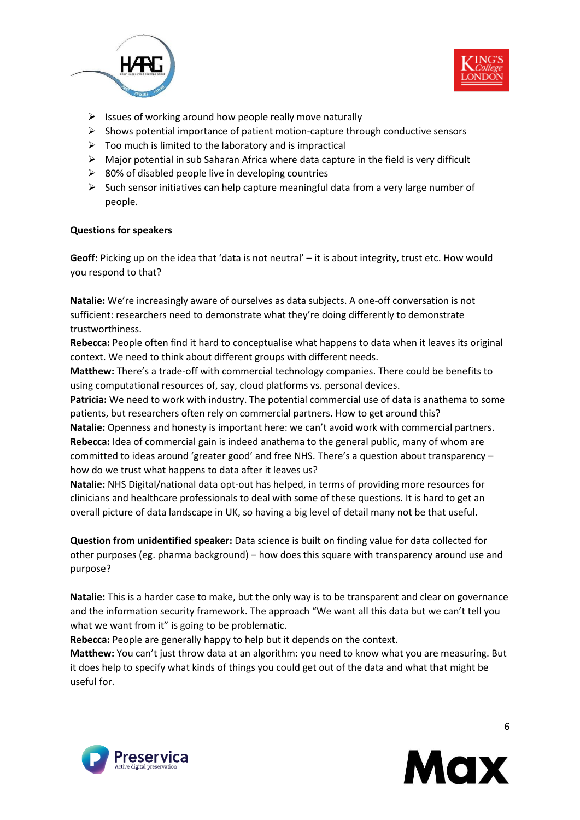



- $\triangleright$  Issues of working around how people really move naturally
- $\triangleright$  Shows potential importance of patient motion-capture through conductive sensors
- $\triangleright$  Too much is limited to the laboratory and is impractical
- $\triangleright$  Major potential in sub Saharan Africa where data capture in the field is very difficult
- $\geq$  80% of disabled people live in developing countries
- $\triangleright$  Such sensor initiatives can help capture meaningful data from a very large number of people.

#### **Questions for speakers**

**Geoff:** Picking up on the idea that 'data is not neutral' – it is about integrity, trust etc. How would you respond to that?

**Natalie:** We're increasingly aware of ourselves as data subjects. A one-off conversation is not sufficient: researchers need to demonstrate what they're doing differently to demonstrate trustworthiness.

**Rebecca:** People often find it hard to conceptualise what happens to data when it leaves its original context. We need to think about different groups with different needs.

**Matthew:** There's a trade-off with commercial technology companies. There could be benefits to using computational resources of, say, cloud platforms vs. personal devices.

**Patricia:** We need to work with industry. The potential commercial use of data is anathema to some patients, but researchers often rely on commercial partners. How to get around this?

**Natalie:** Openness and honesty is important here: we can't avoid work with commercial partners. **Rebecca:** Idea of commercial gain is indeed anathema to the general public, many of whom are committed to ideas around 'greater good' and free NHS. There's a question about transparency – how do we trust what happens to data after it leaves us?

**Natalie:** NHS Digital/national data opt-out has helped, in terms of providing more resources for clinicians and healthcare professionals to deal with some of these questions. It is hard to get an overall picture of data landscape in UK, so having a big level of detail many not be that useful.

**Question from unidentified speaker:** Data science is built on finding value for data collected for other purposes (eg. pharma background) – how does this square with transparency around use and purpose?

**Natalie:** This is a harder case to make, but the only way is to be transparent and clear on governance and the information security framework. The approach "We want all this data but we can't tell you what we want from it" is going to be problematic.

**Rebecca:** People are generally happy to help but it depends on the context.

**Matthew:** You can't just throw data at an algorithm: you need to know what you are measuring. But it does help to specify what kinds of things you could get out of the data and what that might be useful for.



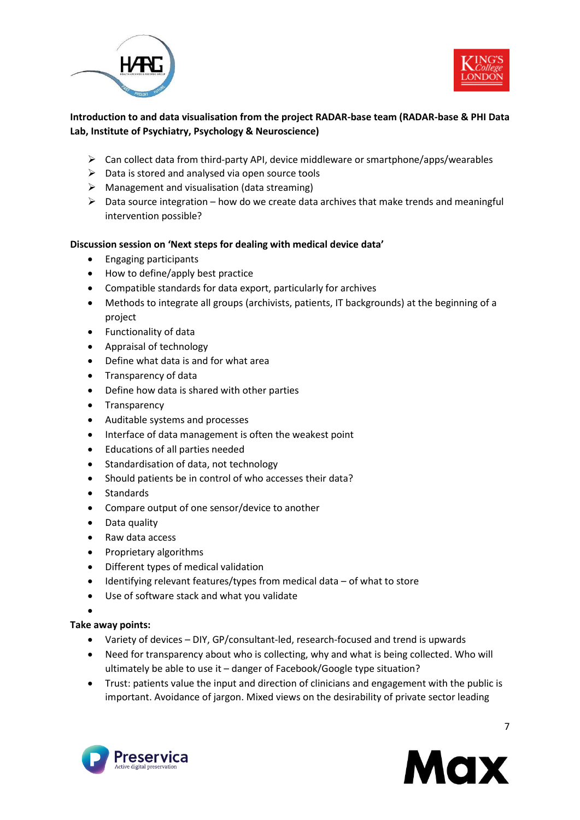



# **Introduction to and data visualisation from the project RADAR-base team (RADAR-base & PHI Data Lab, Institute of Psychiatry, Psychology & Neuroscience)**

- $\triangleright$  Can collect data from third-party API, device middleware or smartphone/apps/wearables
- $\triangleright$  Data is stored and analysed via open source tools
- $\triangleright$  Management and visualisation (data streaming)
- $\triangleright$  Data source integration how do we create data archives that make trends and meaningful intervention possible?

### **Discussion session on 'Next steps for dealing with medical device data'**

- Engaging participants
- How to define/apply best practice
- Compatible standards for data export, particularly for archives
- Methods to integrate all groups (archivists, patients, IT backgrounds) at the beginning of a project
- Functionality of data
- Appraisal of technology
- Define what data is and for what area
- Transparency of data
- Define how data is shared with other parties
- Transparency
- Auditable systems and processes
- Interface of data management is often the weakest point
- Educations of all parties needed
- Standardisation of data, not technology
- Should patients be in control of who accesses their data?
- Standards
- Compare output of one sensor/device to another
- Data quality
- Raw data access
- Proprietary algorithms
- Different types of medical validation
- Identifying relevant features/types from medical data of what to store
- Use of software stack and what you validate
- •

### **Take away points:**

- Variety of devices DIY, GP/consultant-led, research-focused and trend is upwards
- Need for transparency about who is collecting, why and what is being collected. Who will ultimately be able to use it – danger of Facebook/Google type situation?
- Trust: patients value the input and direction of clinicians and engagement with the public is important. Avoidance of jargon. Mixed views on the desirability of private sector leading